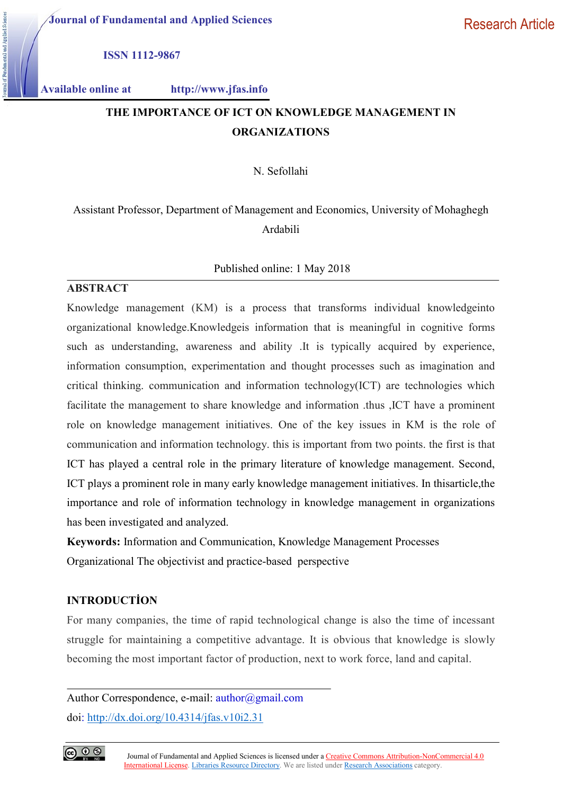Journal of Fundamental and Applied Sciences

ISSN 1112-9867

Available online at http://www.jfas.info

# THE IMPORTANCE OF ICT ON KNOWLEDGE MANAGEMENT IN ORGANIZATIONS

N. Sefollahi

# Assistant Professor, Department of Management and Economics, University of Mohaghegh Ardabili

## Published online: 1 May 2018

# ABSTRACT

Knowledge management (KM) is a process that transforms individual knowledgeinto organizational knowledge.Knowledgeis information that is meaningful in cognitive forms such as understanding, awareness and ability .It is typically acquired by experience, information consumption, experimentation and thought processes such as imagination and critical thinking. communication and information technology(ICT) are technologies which facilitate the management to share knowledge and information .thus ,ICT have a prominent role on knowledge management initiatives. One of the key issues in KM is the role of communication and information technology. this is important from two points. the first is that ICT has played a central role in the primary literature of knowledge management. Second, ICT plays a prominent role in many early knowledge management initiatives. In thisarticle,the importance and role of information technology in knowledge management in organizations has been investigated and analyzed.

Keywords: Information and Communication, Knowledge Management Processes Organizational The objectivist and practice-based perspective

# INTRODUCTİON

For many companies, the time of rapid technological change is also the time of incessant struggle for maintaining a competitive advantage. It is obvious that knowledge is slowly becoming the most important factor of production, next to work force, land and capital.

Author Correspondence, e-mail: author@gmail.com doi: http://dx.doi.org/10.4314/jfas.v10i2.31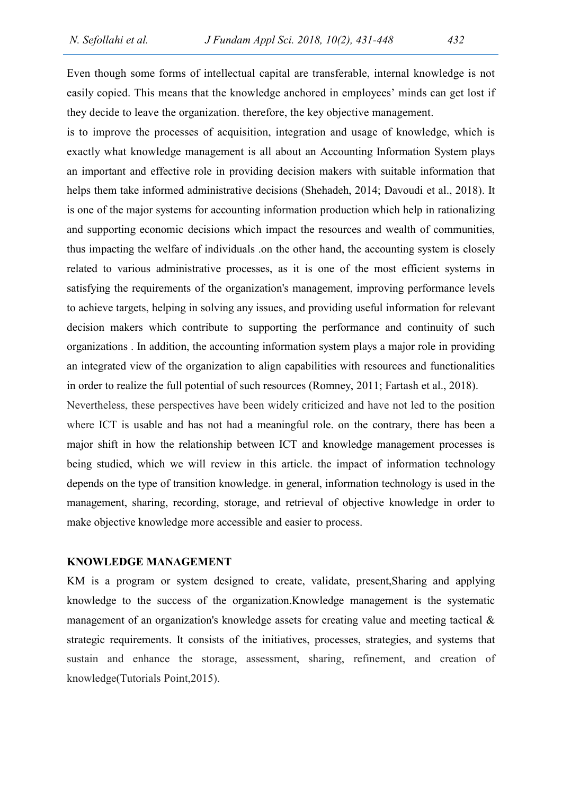Even though some forms of intellectual capital are transferable, internal knowledge is not easily copied. This means that the knowledge anchored in employees' minds can get lost if they decide to leave the organization. therefore, the key objective management.

is to improve the processes of acquisition, integration and usage of knowledge, which is exactly what knowledge management is all about an Accounting Information System plays an important and effective role in providing decision makers with suitable information that helps them take informed administrative decisions (Shehadeh, 2014; Davoudi et al., 2018). It is one of the major systems for accounting information production which help in rationalizing and supporting economic decisions which impact the resources and wealth of communities, thus impacting the welfare of individuals .on the other hand, the accounting system is closely related to various administrative processes, as it is one of the most efficient systems in satisfying the requirements of the organization's management, improving performance levels to achieve targets, helping in solving any issues, and providing useful information for relevant decision makers which contribute to supporting the performance and continuity of such organizations . In addition, the accounting information system plays a major role in providing an integrated view of the organization to align capabilities with resources and functionalities in order to realize the full potential of such resources (Romney, 2011; Fartash et al., 2018).

Nevertheless, these perspectives have been widely criticized and have not led to the position where ICT is usable and has not had a meaningful role. on the contrary, there has been a major shift in how the relationship between ICT and knowledge management processes is being studied, which we will review in this article. the impact of information technology depends on the type of transition knowledge. in general, information technology is used in the management, sharing, recording, storage, and retrieval of objective knowledge in order to make objective knowledge more accessible and easier to process.

## KNOWLEDGE MANAGEMENT

KM is a program or system designed to create, validate, present,Sharing and applying knowledge to the success of the organization.Knowledge management is the systematic management of an organization's knowledge assets for creating value and meeting tactical & strategic requirements. It consists of the initiatives, processes, strategies, and systems that sustain and enhance the storage, assessment, sharing, refinement, and creation of knowledge(Tutorials Point,2015).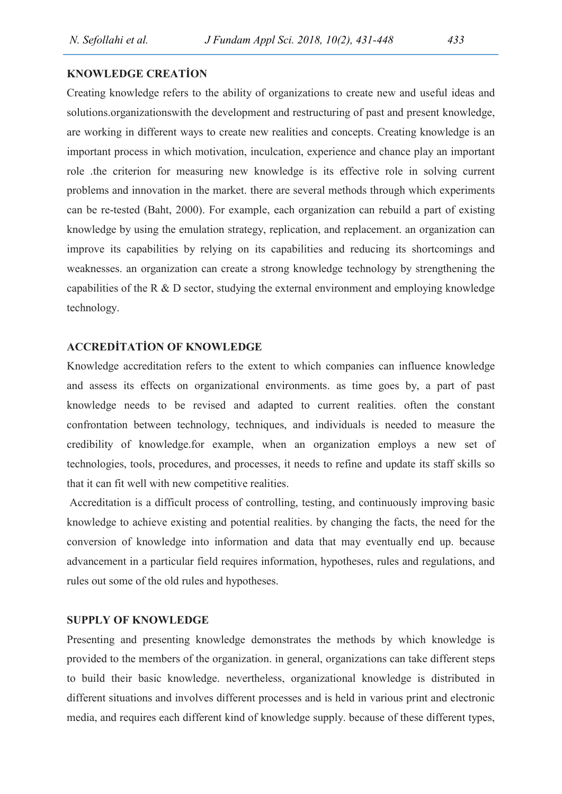## KNOWLEDGE CREATİON

Creating knowledge refers to the ability of organizations to create new and useful ideas and solutions.organizationswith the development and restructuring of past and present knowledge, are working in different ways to create new realities and concepts. Creating knowledge is an important process in which motivation, inculcation, experience and chance play an important role .the criterion for measuring new knowledge is its effective role in solving current problems and innovation in the market. there are several methods through which experiments can be re-tested (Baht, 2000). For example, each organization can rebuild a part of existing knowledge by using the emulation strategy, replication, and replacement. an organization can improve its capabilities by relying on its capabilities and reducing its shortcomings and weaknesses. an organization can create a strong knowledge technology by strengthening the capabilities of the R & D sector, studying the external environment and employing knowledge technology.

# ACCREDİTATİON OF KNOWLEDGE

Knowledge accreditation refers to the extent to which companies can influence knowledge and assess its effects on organizational environments. as time goes by, a part of past knowledge needs to be revised and adapted to current realities. often the constant confrontation between technology, techniques, and individuals is needed to measure the credibility of knowledge.for example, when an organization employs a new set of technologies, tools, procedures, and processes, it needs to refine and update its staff skills so that it can fit well with new competitive realities.

 Accreditation is a difficult process of controlling, testing, and continuously improving basic knowledge to achieve existing and potential realities. by changing the facts, the need for the conversion of knowledge into information and data that may eventually end up. because advancement in a particular field requires information, hypotheses, rules and regulations, and rules out some of the old rules and hypotheses.

#### SUPPLY OF KNOWLEDGE

Presenting and presenting knowledge demonstrates the methods by which knowledge is provided to the members of the organization. in general, organizations can take different steps to build their basic knowledge. nevertheless, organizational knowledge is distributed in different situations and involves different processes and is held in various print and electronic media, and requires each different kind of knowledge supply. because of these different types,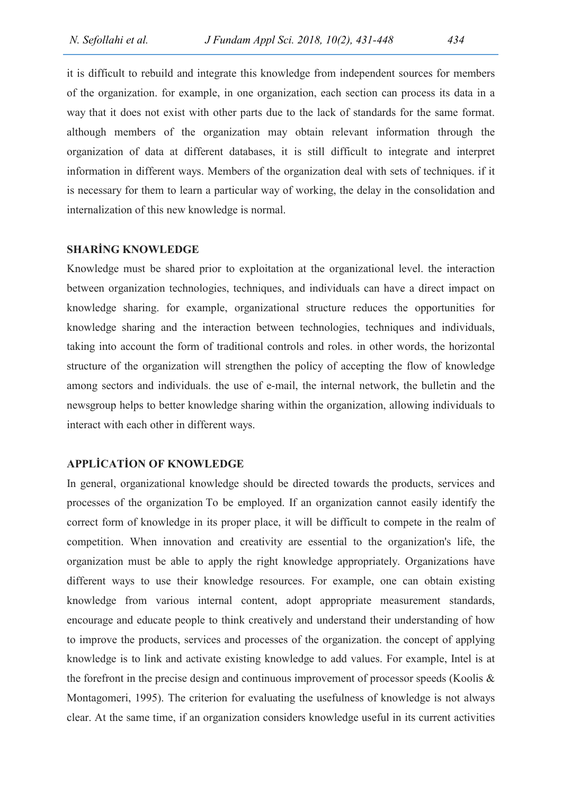it is difficult to rebuild and integrate this knowledge from independent sources for members of the organization. for example, in one organization, each section can process its data in a way that it does not exist with other parts due to the lack of standards for the same format. although members of the organization may obtain relevant information through the organization of data at different databases, it is still difficult to integrate and interpret information in different ways. Members of the organization deal with sets of techniques. if it is necessary for them to learn a particular way of working, the delay in the consolidation and internalization of this new knowledge is normal.

#### SHARİNG KNOWLEDGE

Knowledge must be shared prior to exploitation at the organizational level. the interaction between organization technologies, techniques, and individuals can have a direct impact on knowledge sharing. for example, organizational structure reduces the opportunities for knowledge sharing and the interaction between technologies, techniques and individuals, taking into account the form of traditional controls and roles. in other words, the horizontal structure of the organization will strengthen the policy of accepting the flow of knowledge among sectors and individuals. the use of e-mail, the internal network, the bulletin and the newsgroup helps to better knowledge sharing within the organization, allowing individuals to interact with each other in different ways.

## APPLİCATİON OF KNOWLEDGE

In general, organizational knowledge should be directed towards the products, services and processes of the organization To be employed. If an organization cannot easily identify the correct form of knowledge in its proper place, it will be difficult to compete in the realm of competition. When innovation and creativity are essential to the organization's life, the organization must be able to apply the right knowledge appropriately. Organizations have different ways to use their knowledge resources. For example, one can obtain existing knowledge from various internal content, adopt appropriate measurement standards, encourage and educate people to think creatively and understand their understanding of how to improve the products, services and processes of the organization. the concept of applying knowledge is to link and activate existing knowledge to add values. For example, Intel is at the forefront in the precise design and continuous improvement of processor speeds (Koolis & Montagomeri, 1995). The criterion for evaluating the usefulness of knowledge is not always clear. At the same time, if an organization considers knowledge useful in its current activities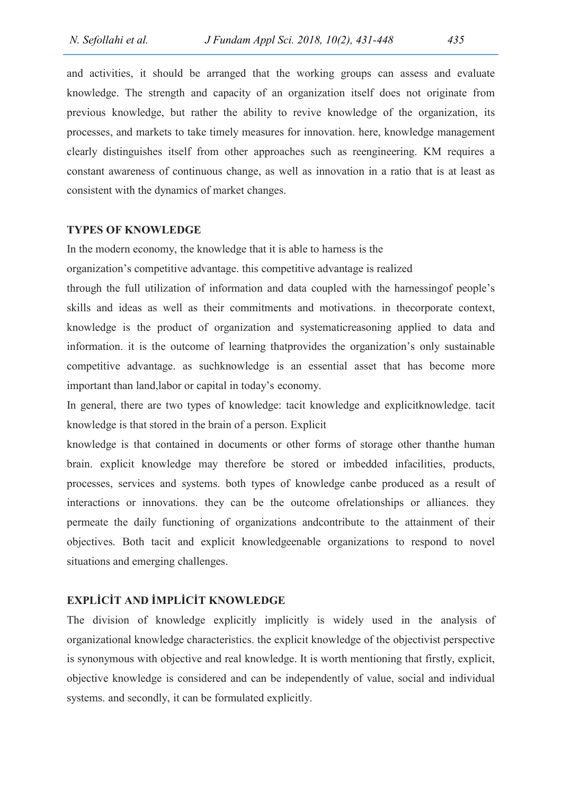and activities, it should be arranged that the working groups can assess and evaluate knowledge. The strength and capacity of an organization itself does not originate from previous knowledge, but rather the ability to revive knowledge of the organization, its processes, and markets to take timely measures for innovation. here, knowledge management clearly distinguishes itself from other approaches such as reengineering. KM requires a constant awareness of continuous change, as well as innovation in a ratio that is at least as consistent with the dynamics of market changes.

#### TYPES OF KNOWLEDGE

In the modern economy, the knowledge that it is able to harness is the

organization's competitive advantage. this competitive advantage is realized

through the full utilization of information and data coupled with the harnessingof people's skills and ideas as well as their commitments and motivations. in thecorporate context, knowledge is the product of organization and systematicreasoning applied to data and information. it is the outcome of learning thatprovides the organization's only sustainable competitive advantage. as suchknowledge is an essential asset that has become more important than land,labor or capital in today's economy.

In general, there are two types of knowledge: tacit knowledge and explicitknowledge. tacit knowledge is that stored in the brain of a person. Explicit

knowledge is that contained in documents or other forms of storage other thanthe human brain. explicit knowledge may therefore be stored or imbedded infacilities, products, processes, services and systems. both types of knowledge canbe produced as a result of interactions or innovations. they can be the outcome ofrelationships or alliances. they permeate the daily functioning of organizations andcontribute to the attainment of their objectives. Both tacit and explicit knowledgeenable organizations to respond to novel situations and emerging challenges.

# EXPLİCİT AND İMPLİCİT KNOWLEDGE

The division of knowledge explicitly implicitly is widely used in the analysis of organizational knowledge characteristics. the explicit knowledge of the objectivist perspective is synonymous with objective and real knowledge. It is worth mentioning that firstly, explicit, objective knowledge is considered and can be independently of value, social and individual systems. and secondly, it can be formulated explicitly.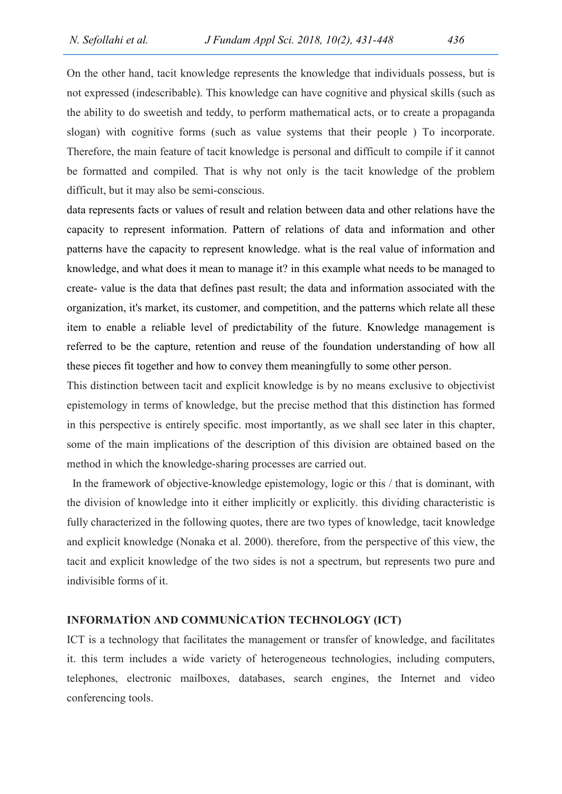On the other hand, tacit knowledge represents the knowledge that individuals possess, but is not expressed (indescribable). This knowledge can have cognitive and physical skills (such as the ability to do sweetish and teddy, to perform mathematical acts, or to create a propaganda slogan) with cognitive forms (such as value systems that their people ) To incorporate. Therefore, the main feature of tacit knowledge is personal and difficult to compile if it cannot be formatted and compiled. That is why not only is the tacit knowledge of the problem difficult, but it may also be semi-conscious.

data represents facts or values of result and relation between data and other relations have the capacity to represent information. Pattern of relations of data and information and other patterns have the capacity to represent knowledge. what is the real value of information and knowledge, and what does it mean to manage it? in this example what needs to be managed to create- value is the data that defines past result; the data and information associated with the organization, it's market, its customer, and competition, and the patterns which relate all these item to enable a reliable level of predictability of the future. Knowledge management is referred to be the capture, retention and reuse of the foundation understanding of how all these pieces fit together and how to convey them meaningfully to some other person.

This distinction between tacit and explicit knowledge is by no means exclusive to objectivist epistemology in terms of knowledge, but the precise method that this distinction has formed in this perspective is entirely specific. most importantly, as we shall see later in this chapter, some of the main implications of the description of this division are obtained based on the method in which the knowledge-sharing processes are carried out.

 In the framework of objective-knowledge epistemology, logic or this / that is dominant, with the division of knowledge into it either implicitly or explicitly. this dividing characteristic is fully characterized in the following quotes, there are two types of knowledge, tacit knowledge and explicit knowledge (Nonaka et al. 2000). therefore, from the perspective of this view, the tacit and explicit knowledge of the two sides is not a spectrum, but represents two pure and indivisible forms of it.

#### INFORMATİON AND COMMUNİCATİON TECHNOLOGY (ICT)

ICT is a technology that facilitates the management or transfer of knowledge, and facilitates it. this term includes a wide variety of heterogeneous technologies, including computers, telephones, electronic mailboxes, databases, search engines, the Internet and video conferencing tools.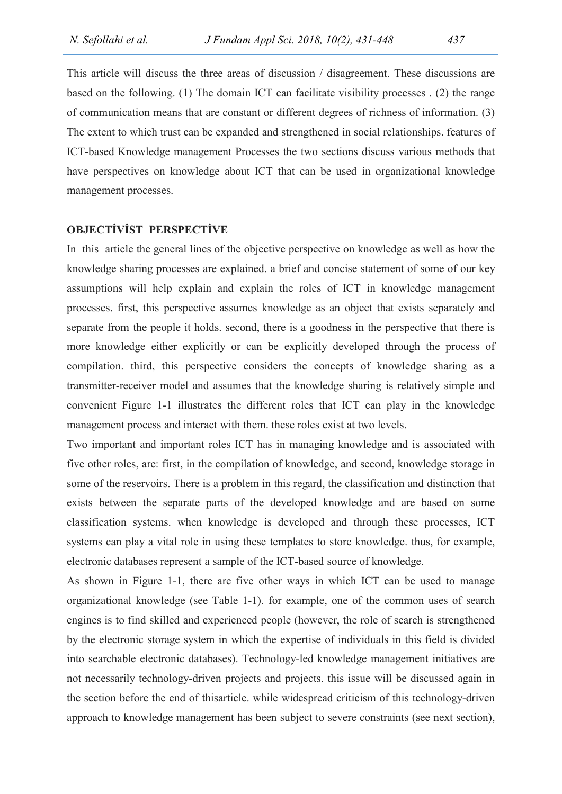This article will discuss the three areas of discussion / disagreement. These discussions are based on the following. (1) The domain ICT can facilitate visibility processes . (2) the range of communication means that are constant or different degrees of richness of information. (3) The extent to which trust can be expanded and strengthened in social relationships. features of ICT-based Knowledge management Processes the two sections discuss various methods that have perspectives on knowledge about ICT that can be used in organizational knowledge management processes.

## OBJECTİVİST PERSPECTİVE

In this article the general lines of the objective perspective on knowledge as well as how the knowledge sharing processes are explained. a brief and concise statement of some of our key assumptions will help explain and explain the roles of ICT in knowledge management processes. first, this perspective assumes knowledge as an object that exists separately and separate from the people it holds. second, there is a goodness in the perspective that there is more knowledge either explicitly or can be explicitly developed through the process of compilation. third, this perspective considers the concepts of knowledge sharing as a transmitter-receiver model and assumes that the knowledge sharing is relatively simple and convenient Figure 1-1 illustrates the different roles that ICT can play in the knowledge management process and interact with them. these roles exist at two levels.

Two important and important roles ICT has in managing knowledge and is associated with five other roles, are: first, in the compilation of knowledge, and second, knowledge storage in some of the reservoirs. There is a problem in this regard, the classification and distinction that exists between the separate parts of the developed knowledge and are based on some classification systems. when knowledge is developed and through these processes, ICT systems can play a vital role in using these templates to store knowledge. thus, for example, electronic databases represent a sample of the ICT-based source of knowledge.

As shown in Figure 1-1, there are five other ways in which ICT can be used to manage organizational knowledge (see Table 1-1). for example, one of the common uses of search engines is to find skilled and experienced people (however, the role of search is strengthened by the electronic storage system in which the expertise of individuals in this field is divided into searchable electronic databases). Technology-led knowledge management initiatives are not necessarily technology-driven projects and projects. this issue will be discussed again in the section before the end of thisarticle. while widespread criticism of this technology-driven approach to knowledge management has been subject to severe constraints (see next section),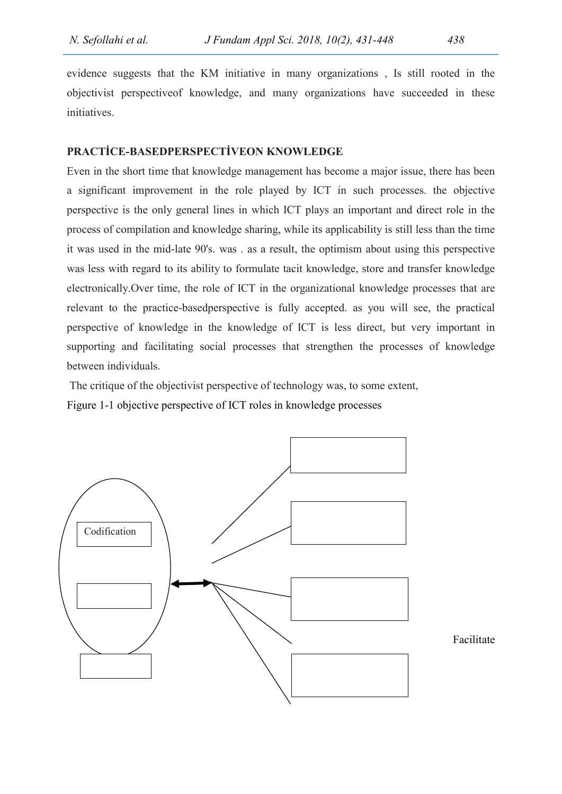evidence suggests that the KM initiative in many organizations , Is still rooted in the objectivist perspectiveof knowledge, and many organizations have succeeded in these initiatives.

# PRACTİCE-BASEDPERSPECTİVEON KNOWLEDGE

Even in the short time that knowledge management has become a major issue, there has been a significant improvement in the role played by ICT in such processes. the objective perspective is the only general lines in which ICT plays an important and direct role in the process of compilation and knowledge sharing, while its applicability is still less than the time it was used in the mid-late 90's. was . as a result, the optimism about using this perspective was less with regard to its ability to formulate tacit knowledge, store and transfer knowledge electronically.Over time, the role of ICT in the organizational knowledge processes that are relevant to the practice-basedperspective is fully accepted. as you will see, the practical perspective of knowledge in the knowledge of ICT is less direct, but very important in supporting and facilitating social processes that strengthen the processes of knowledge between individuals.

 The critique of the objectivist perspective of technology was, to some extent, Figure 1-1 objective perspective of ICT roles in knowledge processes

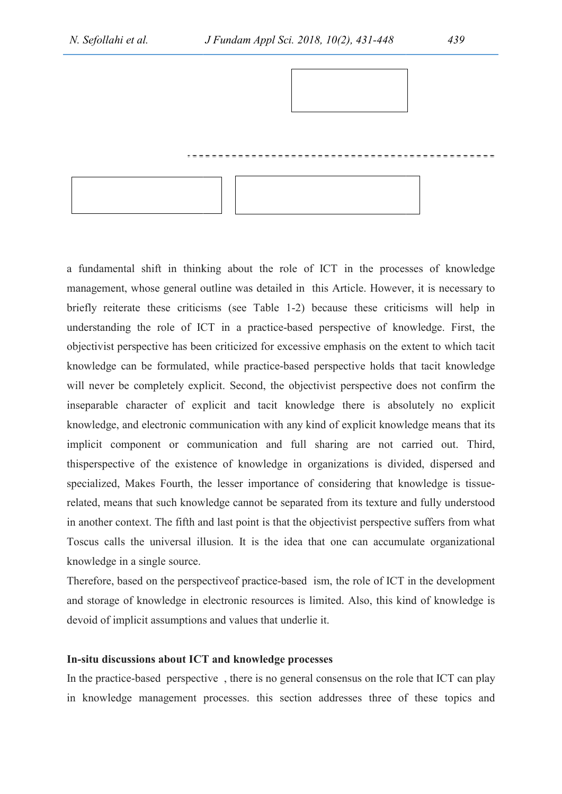



a fundamental shift in thinking about the role of ICT in the processes of knowledge management, whose general outline was detailed in this Article. However, it is necessary to briefly reiterate these criticisms (see Table 1 1-2) because these criticisms will help in understanding the role of ICT i in a practice-based perspective of knowledge. First, the objectivist perspective has been criticized for excessive emphasis on the extent to which tacit objectivist perspective has been criticized for excessive emphasis on the extent to which tacit<br>knowledge can be formulated, while practice-based perspective holds that tacit knowledge will never be completely explicit. Second, the objectivist perspective does not confirm the inseparable character of explicit and tacit knowledge there is absolutely no explicit knowledge, and electronic communication with inseparable character of explicit and tacit knowledge there is absolutely no explicit knowledge, and electronic communication with any kind of explicit knowledge means that its implicit component or communication and full sharing are not carried out. Third, thisperspective of the existence of knowledge in organizations is divided, dispersed and specialized, Makes Fourth, the lesser importance of considering that knowledge is tissue specialized, Makes Fourth, the lesser importance of considering that knowledge is tissue-<br>related, means that such knowledge cannot be separated from its texture and fully understood in another context. The fifth and last point is that the objectivist perspective suffers from what Toscus calls the universal illusion. It is the idea that one can accumulate organizational knowledge in a single source. 1-2) because these criticisms will help in<br>
-based perspective of knowledge. First, the<br>
xcessive emphasis on the extent to which tacit<br>
based perspective holds that tacit knowledge<br>
: objectivist perspective does not conf

Therefore, based on the perspective of practice-based ism, the role of ICT in the development and storage of knowledge in electronic resources is limited. Also, this kind of knowledge is devoid of implicit assumptions and values that underlie it. devoid of implicit assumptions and values that underlie it.

### In-situ discussions about ICT and knowledge processes

In the practice-based perspective, there is no general consensus on the role that ICT can play in knowledge management processes. this section addresses three of these topics and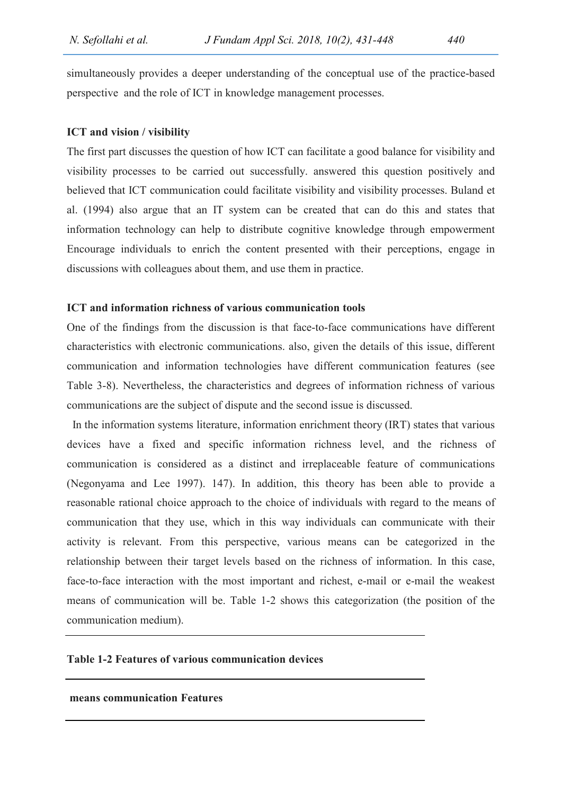simultaneously provides a deeper understanding of the conceptual use of the practice-based perspective and the role of ICT in knowledge management processes.

#### ICT and vision / visibility

The first part discusses the question of how ICT can facilitate a good balance for visibility and visibility processes to be carried out successfully. answered this question positively and believed that ICT communication could facilitate visibility and visibility processes. Buland et al. (1994) also argue that an IT system can be created that can do this and states that information technology can help to distribute cognitive knowledge through empowerment Encourage individuals to enrich the content presented with their perceptions, engage in discussions with colleagues about them, and use them in practice.

## ICT and information richness of various communication tools

One of the findings from the discussion is that face-to-face communications have different characteristics with electronic communications. also, given the details of this issue, different communication and information technologies have different communication features (see Table 3-8). Nevertheless, the characteristics and degrees of information richness of various communications are the subject of dispute and the second issue is discussed.

In the information systems literature, information enrichment theory (IRT) states that various devices have a fixed and specific information richness level, and the richness of communication is considered as a distinct and irreplaceable feature of communications (Negonyama and Lee 1997). 147). In addition, this theory has been able to provide a reasonable rational choice approach to the choice of individuals with regard to the means of communication that they use, which in this way individuals can communicate with their activity is relevant. From this perspective, various means can be categorized in the relationship between their target levels based on the richness of information. In this case, face-to-face interaction with the most important and richest, e-mail or e-mail the weakest means of communication will be. Table 1-2 shows this categorization (the position of the communication medium).

## Table 1-2 Features of various communication devices

#### means communication Features

 $\overline{a}$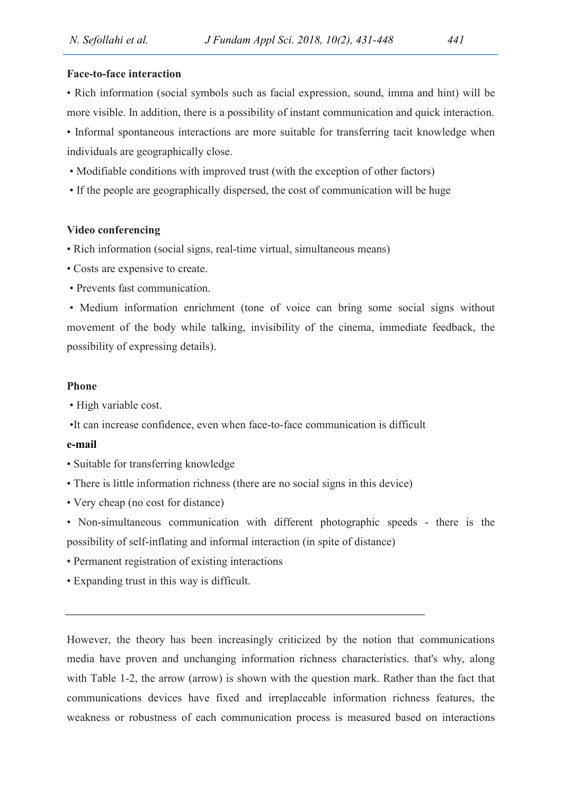### Face-to-face interaction

• Rich information (social symbols such as facial expression, sound, imma and hint) will be more visible. In addition, there is a possibility of instant communication and quick interaction. • Informal spontaneous interactions are more suitable for transferring tacit knowledge when individuals are geographically close.

- Modifiable conditions with improved trust (with the exception of other factors)
- If the people are geographically dispersed, the cost of communication will be huge

#### Video conferencing

- Rich information (social signs, real-time virtual, simultaneous means)
- Costs are expensive to create.
- Prevents fast communication.

 • Medium information enrichment (tone of voice can bring some social signs without movement of the body while talking, invisibility of the cinema, immediate feedback, the possibility of expressing details).

#### Phone

- High variable cost.
- •It can increase confidence, even when face-to-face communication is difficult

#### e-mail

- Suitable for transferring knowledge
- There is little information richness (there are no social signs in this device)
- Very cheap (no cost for distance)

• Non-simultaneous communication with different photographic speeds - there is the possibility of self-inflating and informal interaction (in spite of distance)

- Permanent registration of existing interactions
- Expanding trust in this way is difficult.

However, the theory has been increasingly criticized by the notion that communications media have proven and unchanging information richness characteristics. that's why, along with Table 1-2, the arrow (arrow) is shown with the question mark. Rather than the fact that communications devices have fixed and irreplaceable information richness features, the weakness or robustness of each communication process is measured based on interactions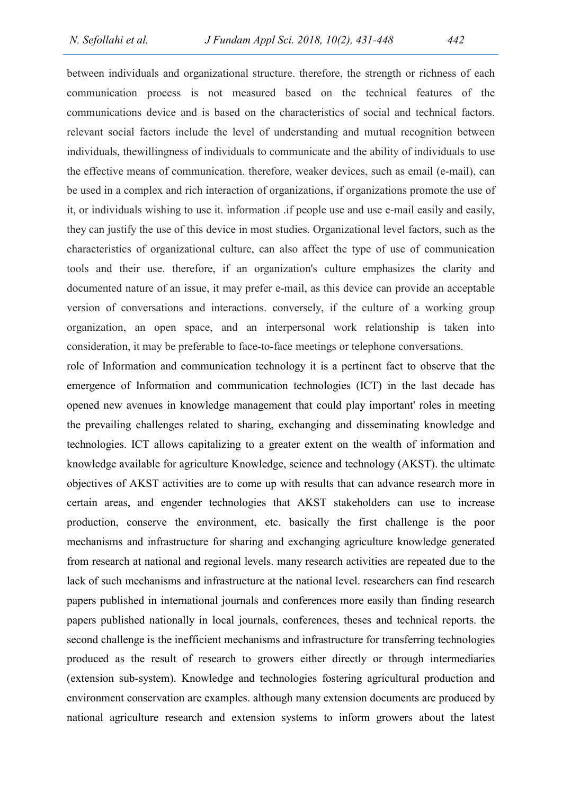between individuals and organizational structure. therefore, the strength or richness of each communication process is not measured based on the technical features of the communications device and is based on the characteristics of social and technical factors. relevant social factors include the level of understanding and mutual recognition between individuals, thewillingness of individuals to communicate and the ability of individuals to use the effective means of communication. therefore, weaker devices, such as email (e-mail), can be used in a complex and rich interaction of organizations, if organizations promote the use of it, or individuals wishing to use it. information .if people use and use e-mail easily and easily, they can justify the use of this device in most studies. Organizational level factors, such as the characteristics of organizational culture, can also affect the type of use of communication tools and their use. therefore, if an organization's culture emphasizes the clarity and documented nature of an issue, it may prefer e-mail, as this device can provide an acceptable version of conversations and interactions. conversely, if the culture of a working group organization, an open space, and an interpersonal work relationship is taken into consideration, it may be preferable to face-to-face meetings or telephone conversations.

role of Information and communication technology it is a pertinent fact to observe that the emergence of Information and communication technologies (ICT) in the last decade has opened new avenues in knowledge management that could play important' roles in meeting the prevailing challenges related to sharing, exchanging and disseminating knowledge and technologies. ICT allows capitalizing to a greater extent on the wealth of information and knowledge available for agriculture Knowledge, science and technology (AKST). the ultimate objectives of AKST activities are to come up with results that can advance research more in certain areas, and engender technologies that AKST stakeholders can use to increase production, conserve the environment, etc. basically the first challenge is the poor mechanisms and infrastructure for sharing and exchanging agriculture knowledge generated from research at national and regional levels. many research activities are repeated due to the lack of such mechanisms and infrastructure at the national level. researchers can find research papers published in international journals and conferences more easily than finding research papers published nationally in local journals, conferences, theses and technical reports. the second challenge is the inefficient mechanisms and infrastructure for transferring technologies produced as the result of research to growers either directly or through intermediaries (extension sub-system). Knowledge and technologies fostering agricultural production and environment conservation are examples. although many extension documents are produced by national agriculture research and extension systems to inform growers about the latest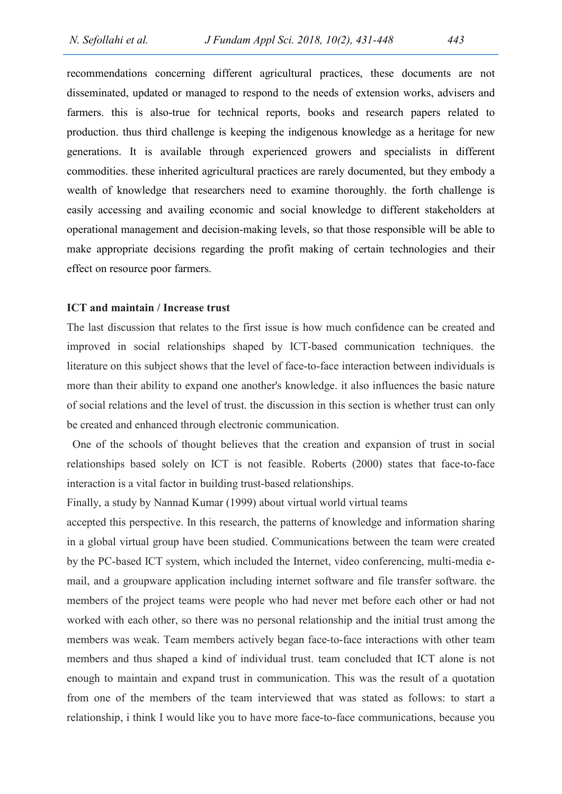recommendations concerning different agricultural practices, these documents are not disseminated, updated or managed to respond to the needs of extension works, advisers and farmers. this is also-true for technical reports, books and research papers related to production. thus third challenge is keeping the indigenous knowledge as a heritage for new generations. It is available through experienced growers and specialists in different commodities. these inherited agricultural practices are rarely documented, but they embody a wealth of knowledge that researchers need to examine thoroughly. the forth challenge is easily accessing and availing economic and social knowledge to different stakeholders at operational management and decision-making levels, so that those responsible will be able to make appropriate decisions regarding the profit making of certain technologies and their effect on resource poor farmers.

## ICT and maintain / Increase trust

The last discussion that relates to the first issue is how much confidence can be created and improved in social relationships shaped by ICT-based communication techniques. the literature on this subject shows that the level of face-to-face interaction between individuals is more than their ability to expand one another's knowledge. it also influences the basic nature of social relations and the level of trust. the discussion in this section is whether trust can only be created and enhanced through electronic communication.

 One of the schools of thought believes that the creation and expansion of trust in social relationships based solely on ICT is not feasible. Roberts (2000) states that face-to-face interaction is a vital factor in building trust-based relationships.

Finally, a study by Nannad Kumar (1999) about virtual world virtual teams

accepted this perspective. In this research, the patterns of knowledge and information sharing in a global virtual group have been studied. Communications between the team were created by the PC-based ICT system, which included the Internet, video conferencing, multi-media email, and a groupware application including internet software and file transfer software. the members of the project teams were people who had never met before each other or had not worked with each other, so there was no personal relationship and the initial trust among the members was weak. Team members actively began face-to-face interactions with other team members and thus shaped a kind of individual trust. team concluded that ICT alone is not enough to maintain and expand trust in communication. This was the result of a quotation from one of the members of the team interviewed that was stated as follows: to start a relationship, i think I would like you to have more face-to-face communications, because you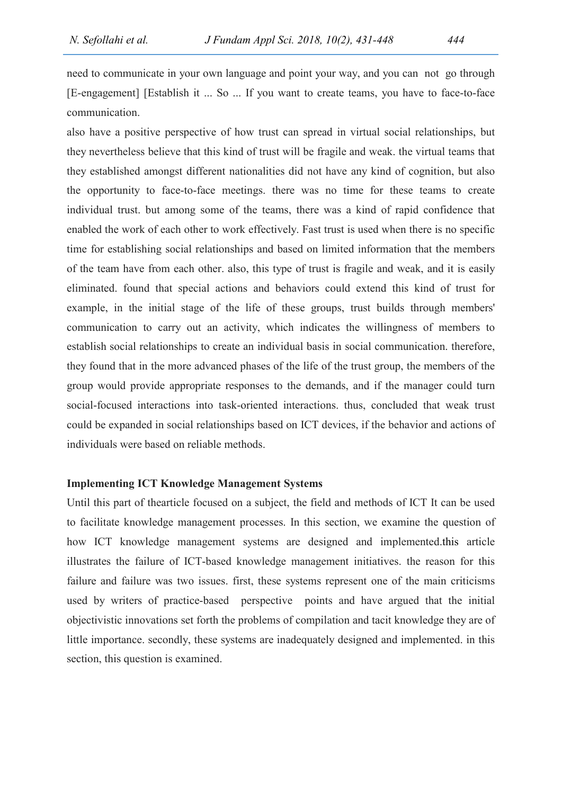need to communicate in your own language and point your way, and you can not go through [E-engagement] [Establish it ... So ... If you want to create teams, you have to face-to-face communication.

also have a positive perspective of how trust can spread in virtual social relationships, but they nevertheless believe that this kind of trust will be fragile and weak. the virtual teams that they established amongst different nationalities did not have any kind of cognition, but also the opportunity to face-to-face meetings. there was no time for these teams to create individual trust. but among some of the teams, there was a kind of rapid confidence that enabled the work of each other to work effectively. Fast trust is used when there is no specific time for establishing social relationships and based on limited information that the members of the team have from each other. also, this type of trust is fragile and weak, and it is easily eliminated. found that special actions and behaviors could extend this kind of trust for example, in the initial stage of the life of these groups, trust builds through members' communication to carry out an activity, which indicates the willingness of members to establish social relationships to create an individual basis in social communication. therefore, they found that in the more advanced phases of the life of the trust group, the members of the group would provide appropriate responses to the demands, and if the manager could turn social-focused interactions into task-oriented interactions. thus, concluded that weak trust could be expanded in social relationships based on ICT devices, if the behavior and actions of individuals were based on reliable methods.

### Implementing ICT Knowledge Management Systems

Until this part of thearticle focused on a subject, the field and methods of ICT It can be used to facilitate knowledge management processes. In this section, we examine the question of how ICT knowledge management systems are designed and implemented.this article illustrates the failure of ICT-based knowledge management initiatives. the reason for this failure and failure was two issues. first, these systems represent one of the main criticisms used by writers of practice-based perspective points and have argued that the initial objectivistic innovations set forth the problems of compilation and tacit knowledge they are of little importance. secondly, these systems are inadequately designed and implemented. in this section, this question is examined.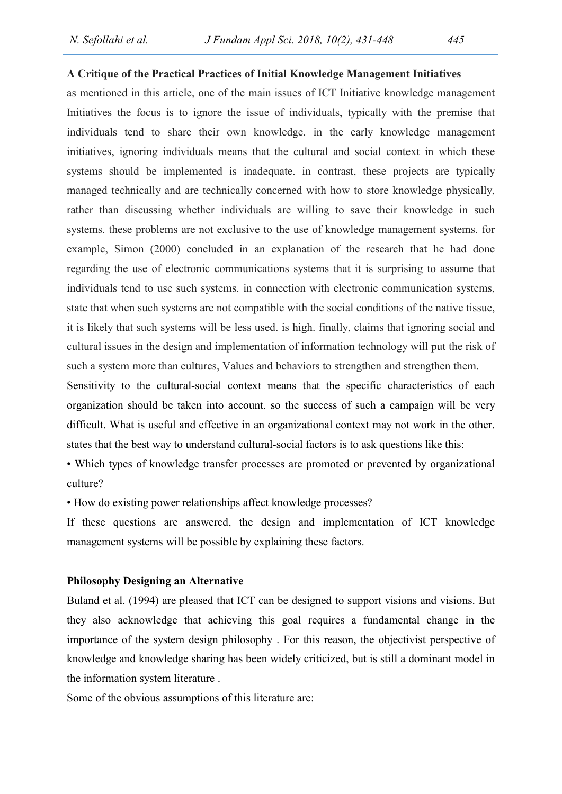#### A Critique of the Practical Practices of Initial Knowledge Management Initiatives

as mentioned in this article, one of the main issues of ICT Initiative knowledge management Initiatives the focus is to ignore the issue of individuals, typically with the premise that individuals tend to share their own knowledge. in the early knowledge management initiatives, ignoring individuals means that the cultural and social context in which these systems should be implemented is inadequate. in contrast, these projects are typically managed technically and are technically concerned with how to store knowledge physically, rather than discussing whether individuals are willing to save their knowledge in such systems. these problems are not exclusive to the use of knowledge management systems. for example, Simon (2000) concluded in an explanation of the research that he had done regarding the use of electronic communications systems that it is surprising to assume that individuals tend to use such systems. in connection with electronic communication systems, state that when such systems are not compatible with the social conditions of the native tissue, it is likely that such systems will be less used. is high. finally, claims that ignoring social and cultural issues in the design and implementation of information technology will put the risk of such a system more than cultures, Values and behaviors to strengthen and strengthen them. Sensitivity to the cultural-social context means that the specific characteristics of each

organization should be taken into account. so the success of such a campaign will be very difficult. What is useful and effective in an organizational context may not work in the other. states that the best way to understand cultural-social factors is to ask questions like this:

• Which types of knowledge transfer processes are promoted or prevented by organizational culture?

• How do existing power relationships affect knowledge processes?

If these questions are answered, the design and implementation of ICT knowledge management systems will be possible by explaining these factors.

#### Philosophy Designing an Alternative

Buland et al. (1994) are pleased that ICT can be designed to support visions and visions. But they also acknowledge that achieving this goal requires a fundamental change in the importance of the system design philosophy . For this reason, the objectivist perspective of knowledge and knowledge sharing has been widely criticized, but is still a dominant model in the information system literature .

Some of the obvious assumptions of this literature are: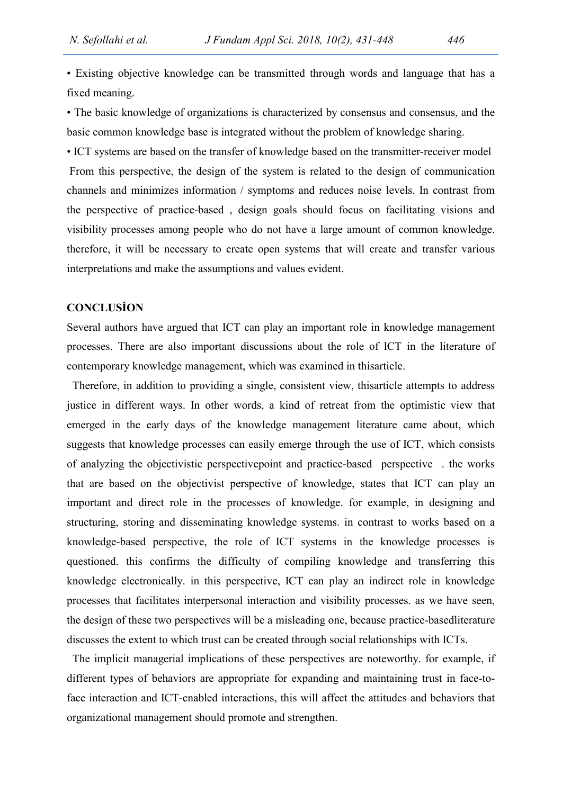• Existing objective knowledge can be transmitted through words and language that has a fixed meaning.

• The basic knowledge of organizations is characterized by consensus and consensus, and the basic common knowledge base is integrated without the problem of knowledge sharing.

• ICT systems are based on the transfer of knowledge based on the transmitter-receiver model From this perspective, the design of the system is related to the design of communication channels and minimizes information / symptoms and reduces noise levels. In contrast from the perspective of practice-based , design goals should focus on facilitating visions and visibility processes among people who do not have a large amount of common knowledge. therefore, it will be necessary to create open systems that will create and transfer various interpretations and make the assumptions and values evident.

### **CONCLUSION**

Several authors have argued that ICT can play an important role in knowledge management processes. There are also important discussions about the role of ICT in the literature of contemporary knowledge management, which was examined in thisarticle.

 Therefore, in addition to providing a single, consistent view, thisarticle attempts to address justice in different ways. In other words, a kind of retreat from the optimistic view that emerged in the early days of the knowledge management literature came about, which suggests that knowledge processes can easily emerge through the use of ICT, which consists of analyzing the objectivistic perspectivepoint and practice-based perspective . the works that are based on the objectivist perspective of knowledge, states that ICT can play an important and direct role in the processes of knowledge. for example, in designing and structuring, storing and disseminating knowledge systems. in contrast to works based on a knowledge-based perspective, the role of ICT systems in the knowledge processes is questioned. this confirms the difficulty of compiling knowledge and transferring this knowledge electronically. in this perspective, ICT can play an indirect role in knowledge processes that facilitates interpersonal interaction and visibility processes. as we have seen, the design of these two perspectives will be a misleading one, because practice-basedliterature discusses the extent to which trust can be created through social relationships with ICTs.

 The implicit managerial implications of these perspectives are noteworthy. for example, if different types of behaviors are appropriate for expanding and maintaining trust in face-toface interaction and ICT-enabled interactions, this will affect the attitudes and behaviors that organizational management should promote and strengthen.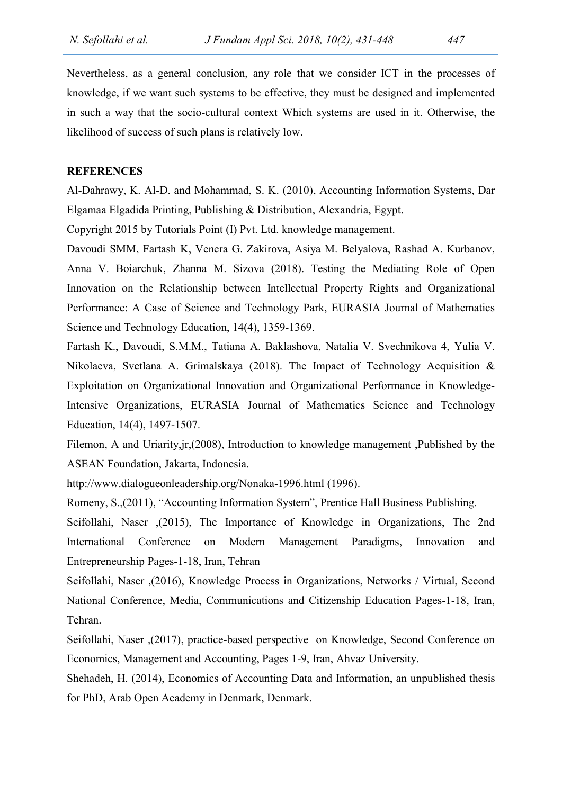Nevertheless, as a general conclusion, any role that we consider ICT in the processes of knowledge, if we want such systems to be effective, they must be designed and implemented in such a way that the socio-cultural context Which systems are used in it. Otherwise, the likelihood of success of such plans is relatively low.

#### **REFERENCES**

Al-Dahrawy, K. Al-D. and Mohammad, S. K. (2010), Accounting Information Systems, Dar Elgamaa Elgadida Printing, Publishing & Distribution, Alexandria, Egypt.

Copyright 2015 by Tutorials Point (I) Pvt. Ltd. knowledge management.

Davoudi SMM, Fartash K, Venera G. Zakirova, Asiya M. Belyalova, Rashad A. Kurbanov, Anna V. Boiarchuk, Zhanna M. Sizova (2018). Testing the Mediating Role of Open Innovation on the Relationship between Intellectual Property Rights and Organizational Performance: A Case of Science and Technology Park, EURASIA Journal of Mathematics Science and Technology Education, 14(4), 1359-1369.

Fartash K., Davoudi, S.M.M., Tatiana A. Baklashova, Natalia V. Svechnikova 4, Yulia V. Nikolaeva, Svetlana A. Grimalskaya (2018). The Impact of Technology Acquisition & Exploitation on Organizational Innovation and Organizational Performance in Knowledge-Intensive Organizations, EURASIA Journal of Mathematics Science and Technology Education, 14(4), 1497-1507.

Filemon, A and Uriarity,jr,(2008), Introduction to knowledge management ,Published by the ASEAN Foundation, Jakarta, Indonesia.

http://www.dialogueonleadership.org/Nonaka-1996.html (1996).

Romeny, S.,(2011), "Accounting Information System", Prentice Hall Business Publishing.

Seifollahi, Naser ,(2015), The Importance of Knowledge in Organizations, The 2nd International Conference on Modern Management Paradigms, Innovation and Entrepreneurship Pages-1-18, Iran, Tehran

Seifollahi, Naser ,(2016), Knowledge Process in Organizations, Networks / Virtual, Second National Conference, Media, Communications and Citizenship Education Pages-1-18, Iran, Tehran.

Seifollahi, Naser ,(2017), practice-based perspective on Knowledge, Second Conference on Economics, Management and Accounting, Pages 1-9, Iran, Ahvaz University.

Shehadeh, H. (2014), Economics of Accounting Data and Information, an unpublished thesis for PhD, Arab Open Academy in Denmark, Denmark.